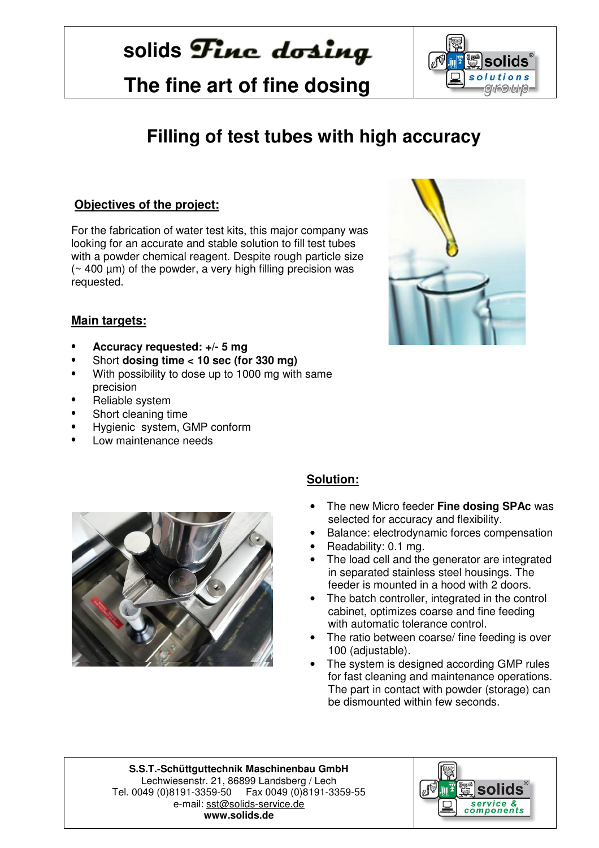# solids **Fine** dosing

 **The fine art of fine dosing**



### **Filling of test tubes with high accuracy**

#### **Objectives of the project:**

For the fabrication of water test kits, this major company was looking for an accurate and stable solution to fill test tubes with a powder chemical reagent. Despite rough particle size  $($  ~ 400  $\mu$ m) of the powder, a very high filling precision was requested.



#### **Main targets:**

- **Accuracy requested: +/- 5 mg**
- Short **dosing time < 10 sec (for 330 mg)**
- With possibility to dose up to 1000 mg with same precision
- Reliable system
- Short cleaning time
- Hygienic system, GMP conform
- Low maintenance needs



#### **Solution:**

- The new Micro feeder **Fine dosing SPAc** was selected for accuracy and flexibility.
- Balance: electrodynamic forces compensation
- Readability: 0.1 mg.
- The load cell and the generator are integrated in separated stainless steel housings. The feeder is mounted in a hood with 2 doors.
- The batch controller, integrated in the control cabinet, optimizes coarse and fine feeding with automatic tolerance control.
- The ratio between coarse/ fine feeding is over 100 (adjustable).
- The system is designed according GMP rules for fast cleaning and maintenance operations. The part in contact with powder (storage) can be dismounted within few seconds.

**S.S.T.-Schüttguttechnik Maschinenbau GmbH** Lechwiesenstr. 21, 86899 Landsberg / Lech Tel. 0049 (0)8191-3359-50 Fax 0049 (0)8191-3359-55 e-mail: sst@solids-service.de **www.solids.de** 

֖֚֞֬֝֬֝֬֝֬֝֬֝֬֝֬֝֬֝֬֝֬֝֬֝֬֝֬֝֬֝֬֝֬֝